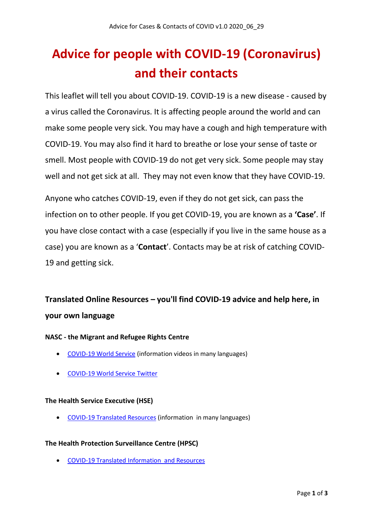# **Advice for people with COVID-19 (Coronavirus) and their contacts**

This leaflet will tell you about COVID-19. COVID-19 is a new disease - caused by a virus called the Coronavirus. It is affecting people around the world and can make some people very sick. You may have a cough and high temperature with COVID-19. You may also find it hard to breathe or lose your sense of taste or smell. Most people with COVID-19 do not get very sick. Some people may stay well and not get sick at all. They may not even know that they have COVID-19.

Anyone who catches COVID-19, even if they do not get sick, can pass the infection on to other people. If you get COVID-19, you are known as a **'Case'**. If you have close contact with a case (especially if you live in the same house as a case) you are known as a '**Contact**'. Contacts may be at risk of catching COVID-19 and getting sick.

# **Translated Online Resources – you'll find COVID-19 advice and help here, in your own language**

#### **NASC - the Migrant and Refugee Rights Centre**

- [COVID-19 World Service](https://nascireland.org/covid-19-world-service) (information videos in many languages)
- [COVID-19 World Service](https://twitter.com/ServiceCovid19) Twitter

#### **The Health Service Executive (HSE)**

• [COVID-19 Translated Resources](https://www.hse.ie/eng/services/news/newsfeatures/covid19-updates/partner-resources/covid-19-translated-resources/) (information in many languages)

#### **The Health Protection Surveillance Centre (HPSC)**

• [COVID-19 Translated Information and Resources](https://www.hpsc.ie/a-z/respiratory/coronavirus/novelcoronavirus/factsheetsandresources/covid-19translatedresources/)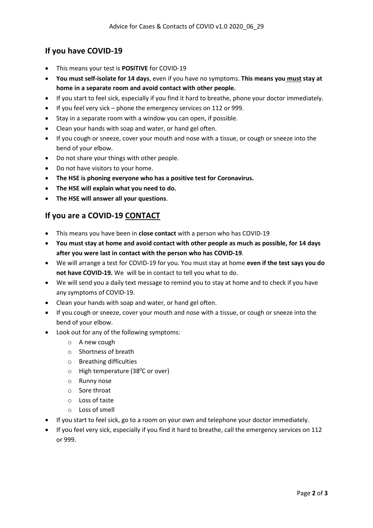## **If you have COVID-19**

- This means your test is **POSITIVE** for COVID-19
- **You must self-isolate for 14 days**, even if you have no symptoms. **This means you must stay at home in a separate room and avoid contact with other people.**
- If you start to feel sick, especially if you find it hard to breathe, phone your doctor immediately.
- If you feel very sick phone the emergency services on 112 or 999.
- Stay in a separate room with a window you can open, if possible.
- Clean your hands with soap and water, or hand gel often.
- If you cough or sneeze, cover your mouth and nose with a tissue, or cough or sneeze into the bend of your elbow.
- Do not share your things with other people.
- Do not have visitors to your home.
- **The HSE is phoning everyone who has a positive test for Coronavirus.**
- **The HSE will explain what you need to do.**
- **The HSE will answer all your questions**.

### **If you are a COVID-19 CONTACT**

- This means you have been in **close contact** with a person who has COVID-19
- **You must stay at home and avoid contact with other people as much as possible, for 14 days after you were last in contact with the person who has COVID-19**.
- We will arrange a test for COVID-19 for you. You must stay at home **even if the test says you do not have COVID-19.** We will be in contact to tell you what to do.
- We will send you a daily text message to remind you to stay at home and to check if you have any symptoms of COVID-19.
- Clean your hands with soap and water, or hand gel often.
- If you cough or sneeze, cover your mouth and nose with a tissue, or cough or sneeze into the bend of your elbow.
- Look out for any of the following symptoms:
	- o A new cough
	- o Shortness of breath
	- o Breathing difficulties
	- o High temperature (38<sup>0</sup>C or over)
	- o Runny nose
	- o Sore throat
	- o Loss of taste
	- o Loss of smell
- If you start to feel sick, go to a room on your own and telephone your doctor immediately.
- If you feel very sick, especially if you find it hard to breathe, call the emergency services on 112 or 999.